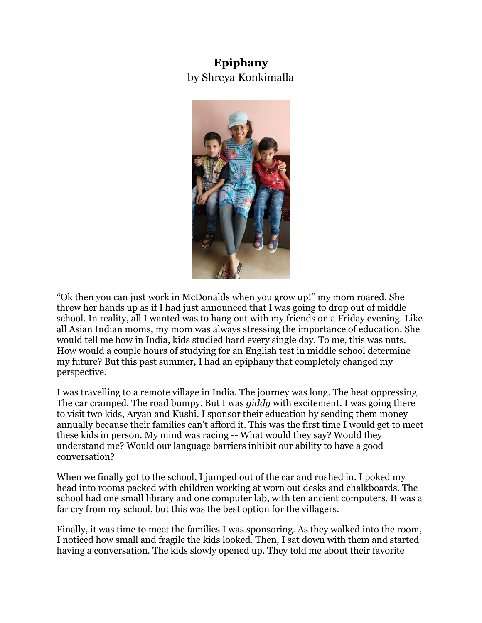## **Epiphany**  by Shreya Konkimalla



"Ok then you can just work in McDonalds when you grow up!" my mom roared. She threw her hands up as if I had just announced that I was going to drop out of middle school. In reality, all I wanted was to hang out with my friends on a Friday evening. Like all Asian Indian moms, my mom was always stressing the importance of education. She would tell me how in India, kids studied hard every single day. To me, this was nuts. How would a couple hours of studying for an English test in middle school determine my future? But this past summer, I had an epiphany that completely changed my perspective.

I was travelling to a remote village in India. The journey was long. The heat oppressing. The car cramped. The road bumpy. But I was *giddy* with excitement. I was going there to visit two kids, Aryan and Kushi. I sponsor their education by sending them money annually because their families can't afford it. This was the first time I would get to meet these kids in person. My mind was racing -- What would they say? Would they understand me? Would our language barriers inhibit our ability to have a good conversation?

When we finally got to the school, I jumped out of the car and rushed in. I poked my head into rooms packed with children working at worn out desks and chalkboards. The school had one small library and one computer lab, with ten ancient computers. It was a far cry from my school, but this was the best option for the villagers.

Finally, it was time to meet the families I was sponsoring. As they walked into the room, I noticed how small and fragile the kids looked. Then, I sat down with them and started having a conversation. The kids slowly opened up. They told me about their favorite